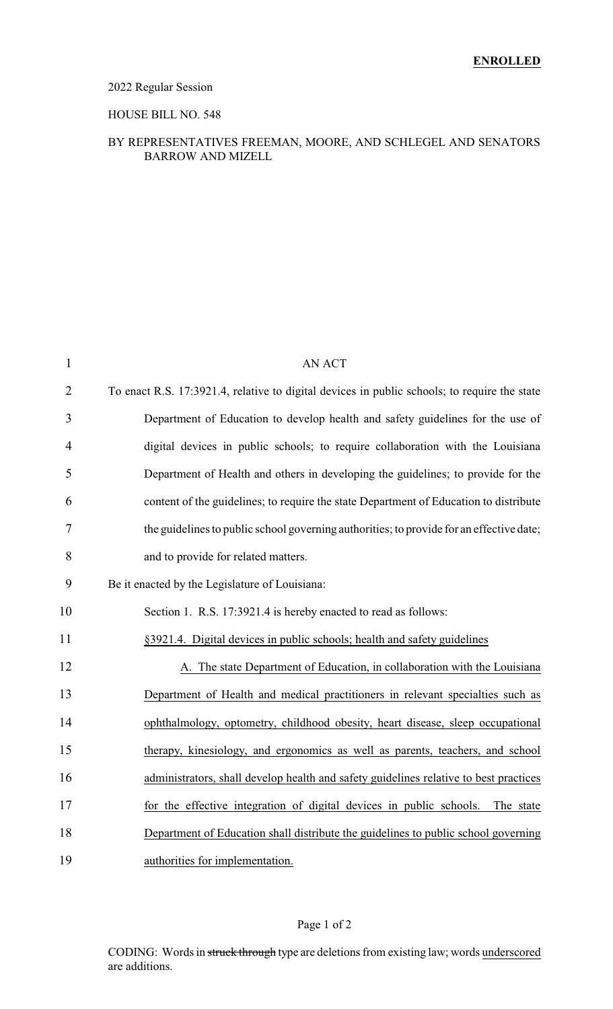## 2022 Regular Session

#### HOUSE BILL NO. 548

### BY REPRESENTATIVES FREEMAN, MOORE, AND SCHLEGEL AND SENATORS BARROW AND MIZELL

| $\mathbf{1}$   | <b>AN ACT</b>                                                                                |
|----------------|----------------------------------------------------------------------------------------------|
| $\overline{2}$ | To enact R.S. 17:3921.4, relative to digital devices in public schools; to require the state |
| 3              | Department of Education to develop health and safety guidelines for the use of               |
| 4              | digital devices in public schools; to require collaboration with the Louisiana               |
| 5              | Department of Health and others in developing the guidelines; to provide for the             |
| 6              | content of the guidelines; to require the state Department of Education to distribute        |
| 7              | the guidelines to public school governing authorities; to provide for an effective date;     |
| 8              | and to provide for related matters.                                                          |
| 9              | Be it enacted by the Legislature of Louisiana:                                               |
| 10             | Section 1. R.S. 17:3921.4 is hereby enacted to read as follows:                              |
| 11             | §3921.4. Digital devices in public schools; health and safety guidelines                     |
| 12             | A. The state Department of Education, in collaboration with the Louisiana                    |
| 13             | Department of Health and medical practitioners in relevant specialties such as               |
| 14             | ophthalmology, optometry, childhood obesity, heart disease, sleep occupational               |
| 15             | therapy, kinesiology, and ergonomics as well as parents, teachers, and school                |
| 16             | administrators, shall develop health and safety guidelines relative to best practices        |
| 17             | for the effective integration of digital devices in public schools. The state                |
| 18             | Department of Education shall distribute the guidelines to public school governing           |
| 19             | authorities for implementation.                                                              |
|                |                                                                                              |

## Page 1 of 2

CODING: Words in struck through type are deletions from existing law; words underscored are additions.